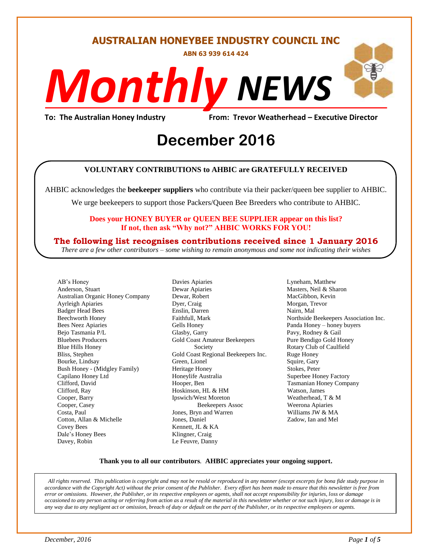#### **AUSTRALIAN HONEYBEE INDUSTRY COUNCIL INC**

**ABN 63 939 614 424**

# *NEWS Monthly*

**To: The Australian Honey Industry From: Trevor Weatherhead – Executive Director**

## Erom: Trevor Weathe<br>
December 2016

#### **VOLUNTARY CONTRIBUTIONS to AHBIC are GRATEFULLY RECEIVED**

AHBIC acknowledges the **beekeeper suppliers** who contribute via their packer/queen bee supplier to AHBIC.

We urge beekeepers to support those Packers/Queen Bee Breeders who contribute to AHBIC.

#### **Does your HONEY BUYER or QUEEN BEE SUPPLIER appear on this list? If not, then ask "Why not?" AHBIC WORKS FOR YOU!**

#### **The following list recognises contributions received since 1 January 2016**

*There are a few other contributors – some wishing to remain anonymous and some not indicating their wishes*

AB's Honey Anderson, Stuart Australian Organic Honey Company Ayrleigh Apiaries Badger Head Bees Beechworth Honey Bees Neez Apiaries Bejo Tasmania P/L Bluebees Producers Blue Hills Honey Bliss, Stephen Bourke, Lindsay Bush Honey - (Midgley Family) Capilano Honey Ltd Clifford, David Clifford, Ray Cooper, Barry Cooper, Casey Costa, Paul Cotton, Allan & Michelle Covey Bees Dale's Honey Bees Davey, Robin

Davies Apiaries Dewar Apiaries Dewar, Robert Dyer, Craig Enslin, Darren Faithfull, Mark Gells Honey Glasby, Garry Gold Coast Amateur Beekeepers Society Gold Coast Regional Beekeepers Inc. Green, Lionel Heritage Honey Honeylife Australia Hooper, Ben Hoskinson, HL & HM Ipswich/West Moreton Beekeepers Assoc Jones, Bryn and Warren Jones, Daniel Kennett, JL & KA Klingner, Craig Le Feuvre, Danny

Lyneham, Matthew Masters, Neil & Sharon MacGibbon, Kevin Morgan, Trevor Nairn, Mal Northside Beekeepers Association Inc. Panda Honey – honey buyers Pavy, Rodney & Gail Pure Bendigo Gold Honey Rotary Club of Caulfield Ruge Honey Squire, Gary Stokes, Peter Superbee Honey Factory Tasmanian Honey Company Watson, James Weatherhead, T & M Weerona Apiaries Williams JW & MA Zadow, Ian and Mel

#### **Thank you to all our contributors***.* **AHBIC appreciates your ongoing support.**

*All rights reserved. This publication is copyright and may not be resold or reproduced in any manner (except excerpts for bona fide study purpose in accordance with the Copyright Act) without the prior consent of the Publisher. Every effort has been made to ensure that this newsletter is free from error or omissions. However, the Publisher, or its respective employees or agents, shall not accept responsibility for injuries, loss or damage occasioned to any person acting or referring from action as a result of the material in this newsletter whether or not such injury, loss or damage is in any way due to any negligent act or omission, breach of duty or default on the part of the Publisher, or its respective employees or agents.*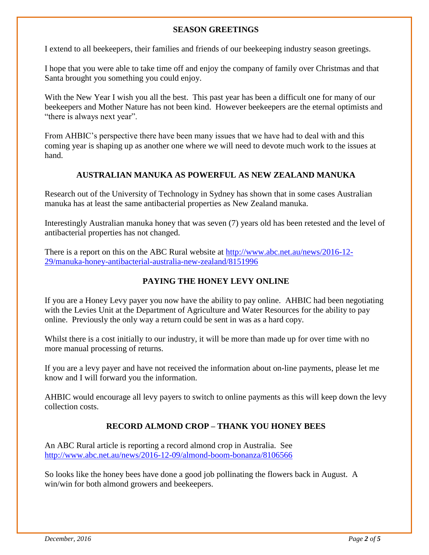#### **SEASON GREETINGS**

I extend to all beekeepers, their families and friends of our beekeeping industry season greetings.

I hope that you were able to take time off and enjoy the company of family over Christmas and that Santa brought you something you could enjoy.

With the New Year I wish you all the best. This past year has been a difficult one for many of our beekeepers and Mother Nature has not been kind. However beekeepers are the eternal optimists and "there is always next year".

From AHBIC's perspective there have been many issues that we have had to deal with and this coming year is shaping up as another one where we will need to devote much work to the issues at hand.

#### **AUSTRALIAN MANUKA AS POWERFUL AS NEW ZEALAND MANUKA**

Research out of the University of Technology in Sydney has shown that in some cases Australian manuka has at least the same antibacterial properties as New Zealand manuka.

Interestingly Australian manuka honey that was seven (7) years old has been retested and the level of antibacterial properties has not changed.

There is a report on this on the ABC Rural website at [http://www.abc.net.au/news/2016-12-](http://www.abc.net.au/news/2016-12-29/manuka-honey-antibacterial-australia-new-zealand/8151996) [29/manuka-honey-antibacterial-australia-new-zealand/8151996](http://www.abc.net.au/news/2016-12-29/manuka-honey-antibacterial-australia-new-zealand/8151996)

#### **PAYING THE HONEY LEVY ONLINE**

If you are a Honey Levy payer you now have the ability to pay online. AHBIC had been negotiating with the Levies Unit at the Department of Agriculture and Water Resources for the ability to pay online. Previously the only way a return could be sent in was as a hard copy.

Whilst there is a cost initially to our industry, it will be more than made up for over time with no more manual processing of returns.

If you are a levy payer and have not received the information about on-line payments, please let me know and I will forward you the information.

AHBIC would encourage all levy payers to switch to online payments as this will keep down the levy collection costs.

#### **RECORD ALMOND CROP – THANK YOU HONEY BEES**

An ABC Rural article is reporting a record almond crop in Australia. See <http://www.abc.net.au/news/2016-12-09/almond-boom-bonanza/8106566>

So looks like the honey bees have done a good job pollinating the flowers back in August. A win/win for both almond growers and beekeepers.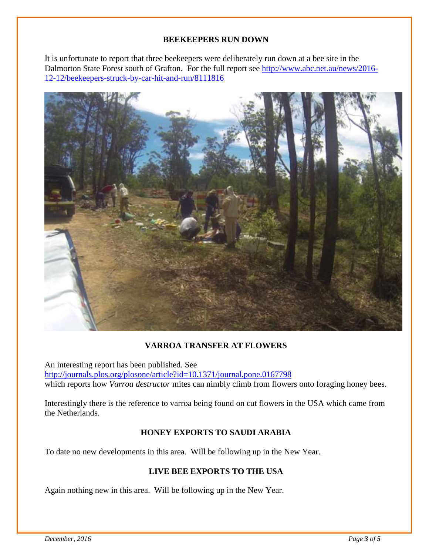#### **BEEKEEPERS RUN DOWN**

It is unfortunate to report that three beekeepers were deliberately run down at a bee site in the Dalmorton State Forest south of Grafton. For the full report see [http://www.abc.net.au/news/2016-](http://www.abc.net.au/news/2016-12-12/beekeepers-struck-by-car-hit-and-run/8111816) [12-12/beekeepers-struck-by-car-hit-and-run/8111816](http://www.abc.net.au/news/2016-12-12/beekeepers-struck-by-car-hit-and-run/8111816)



#### **VARROA TRANSFER AT FLOWERS**

An interesting report has been published. See <http://journals.plos.org/plosone/article?id=10.1371/journal.pone.0167798> which reports how *Varroa destructor* mites can nimbly climb from flowers onto foraging honey bees.

Interestingly there is the reference to varroa being found on cut flowers in the USA which came from the Netherlands.

#### **HONEY EXPORTS TO SAUDI ARABIA**

To date no new developments in this area. Will be following up in the New Year.

#### **LIVE BEE EXPORTS TO THE USA**

Again nothing new in this area. Will be following up in the New Year.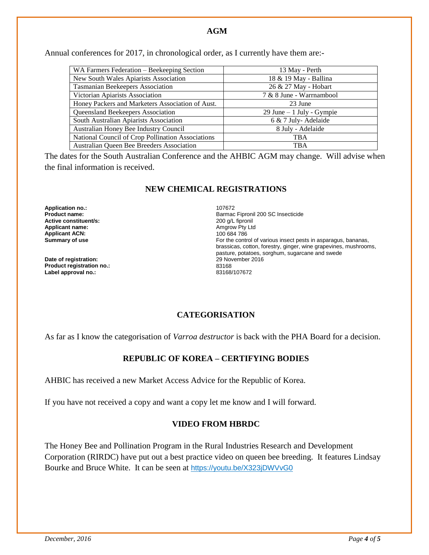Annual conferences for 2017, in chronological order, as I currently have them are:-

| WA Farmers Federation - Beekeeping Section        | 13 May - Perth               |
|---------------------------------------------------|------------------------------|
| New South Wales Apiarists Association             | 18 & 19 May - Ballina        |
| Tasmanian Beekeepers Association                  | 26 & 27 May - Hobart         |
| Victorian Apiarists Association                   | 7 & 8 June - Warrnambool     |
| Honey Packers and Marketers Association of Aust.  | 23 June                      |
| Queensland Beekeepers Association                 | $29$ June $-1$ July - Gympie |
| South Australian Apiarists Association            | 6 & 7 July-Adelaide          |
| Australian Honey Bee Industry Council             | 8 July - Adelaide            |
| National Council of Crop Pollination Associations | <b>TBA</b>                   |
| Australian Queen Bee Breeders Association         | <b>TBA</b>                   |

The dates for the South Australian Conference and the AHBIC AGM may change. Will advise when the final information is received.

#### **NEW CHEMICAL REGISTRATIONS**

**Application no.:** 2007672<br> **Product name:** 2007672<br> **Product name: Active constituent/s:**<br>Applicant name: **Applicant ACN:**<br>Summary of use

**Date of registration: Product registration no.:** 83168 Label approval no.:

Barmac Fipronil 200 SC Insecticide<br>200 g/L fipronil **Amgrow Pty Ltd**<br>100 684 786 For the control of various insect pests in asparagus, bananas, brassicas, cotton, forestry, ginger, wine grapevines, mushrooms, pasture, potatoes, sorghum, sugarcane and swede

#### **CATEGORISATION**

As far as I know the categorisation of *Varroa destructor* is back with the PHA Board for a decision.

#### **REPUBLIC OF KOREA – CERTIFYING BODIES**

AHBIC has received a new Market Access Advice for the Republic of Korea.

If you have not received a copy and want a copy let me know and I will forward.

#### **VIDEO FROM HBRDC**

The Honey Bee and Pollination Program in the Rural Industries Research and Development Corporation (RIRDC) have put out a best practice video on queen bee breeding. It features Lindsay Bourke and Bruce White. It can be seen at [https://youtu.be/X323jDWVvG0](http://coxinall.us7.list-manage.com/track/click?u=87f4462512400a53a67349d86&id=449c07e1fe&e=99278a1f2d)